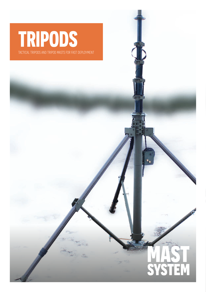## **TRIPODS**

tactical tripods and tripod masts for fast deployment